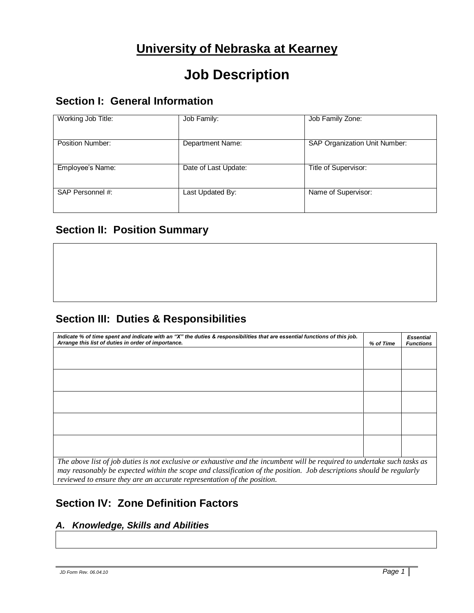# **University of Nebraska at Kearney**

# **Job Description**

# **Section I: General Information**

| Working Job Title:      | Job Family:          | Job Family Zone:              |
|-------------------------|----------------------|-------------------------------|
| <b>Position Number:</b> | Department Name:     | SAP Organization Unit Number: |
| Employee's Name:        | Date of Last Update: | Title of Supervisor:          |
| SAP Personnel #:        | Last Updated By:     | Name of Supervisor:           |

# **Section II: Position Summary**

# **Section III: Duties & Responsibilities**

| Indicate % of time spent and indicate with an "X" the duties & responsibilities that are essential functions of this job.<br>Arrange this list of duties in order of importance.                                                                                                                                             | % of Time | <b>Essential</b><br><b>Functions</b> |  |
|------------------------------------------------------------------------------------------------------------------------------------------------------------------------------------------------------------------------------------------------------------------------------------------------------------------------------|-----------|--------------------------------------|--|
|                                                                                                                                                                                                                                                                                                                              |           |                                      |  |
|                                                                                                                                                                                                                                                                                                                              |           |                                      |  |
|                                                                                                                                                                                                                                                                                                                              |           |                                      |  |
|                                                                                                                                                                                                                                                                                                                              |           |                                      |  |
|                                                                                                                                                                                                                                                                                                                              |           |                                      |  |
|                                                                                                                                                                                                                                                                                                                              |           |                                      |  |
|                                                                                                                                                                                                                                                                                                                              |           |                                      |  |
|                                                                                                                                                                                                                                                                                                                              |           |                                      |  |
|                                                                                                                                                                                                                                                                                                                              |           |                                      |  |
|                                                                                                                                                                                                                                                                                                                              |           |                                      |  |
| The above list of job duties is not exclusive or exhaustive and the incumbent will be required to undertake such tasks as<br>may reasonably be expected within the scope and classification of the position. Job descriptions should be regularly<br>reviewed to ensure they are an accurate representation of the position. |           |                                      |  |

# **Section IV: Zone Definition Factors**

## *A. Knowledge, Skills and Abilities*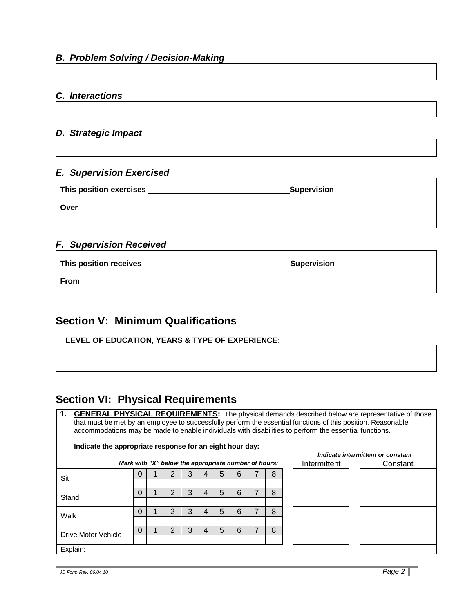### *B. Problem Solving / Decision-Making*

#### *C. Interactions*

### *D. Strategic Impact*

## *E. Supervision Exercised*

|                                | <b>Supervision</b> |  |
|--------------------------------|--------------------|--|
| Over                           |                    |  |
|                                |                    |  |
| <b>F. Supervision Received</b> |                    |  |

| This position receives | Supervision |  |
|------------------------|-------------|--|
| <b>From</b>            |             |  |

# **Section V: Minimum Qualifications**

#### **LEVEL OF EDUCATION, YEARS & TYPE OF EXPERIENCE:**

# **Section VI: Physical Requirements**

| 1.<br><b>GENERAL PHYSICAL REQUIREMENTS:</b> The physical demands described below are representative of those<br>that must be met by an employee to successfully perform the essential functions of this position. Reasonable |          |  |   |   |   |   |   |                                                      |   |              |          |
|------------------------------------------------------------------------------------------------------------------------------------------------------------------------------------------------------------------------------|----------|--|---|---|---|---|---|------------------------------------------------------|---|--------------|----------|
| accommodations may be made to enable individuals with disabilities to perform the essential functions.                                                                                                                       |          |  |   |   |   |   |   |                                                      |   |              |          |
|                                                                                                                                                                                                                              |          |  |   |   |   |   |   |                                                      |   |              |          |
| Indicate the appropriate response for an eight hour day:<br>Indicate intermittent or constant                                                                                                                                |          |  |   |   |   |   |   |                                                      |   |              |          |
|                                                                                                                                                                                                                              |          |  |   |   |   |   |   | Mark with "X" below the appropriate number of hours: |   | Intermittent | Constant |
| Sit                                                                                                                                                                                                                          | 0        |  |   |   |   | 5 | 6 |                                                      | 8 |              |          |
|                                                                                                                                                                                                                              |          |  |   |   |   |   |   |                                                      |   |              |          |
| Stand                                                                                                                                                                                                                        | $\Omega$ |  | 2 | 3 | 4 | 5 | 6 |                                                      | 8 |              |          |
|                                                                                                                                                                                                                              |          |  |   |   |   |   |   |                                                      |   |              |          |
| Walk                                                                                                                                                                                                                         | 0        |  | 2 | 3 | 4 | 5 | 6 |                                                      | 8 |              |          |
|                                                                                                                                                                                                                              |          |  |   |   |   |   |   |                                                      |   |              |          |
| Drive Motor Vehicle                                                                                                                                                                                                          | 0        |  |   | 3 | 4 | 5 | 6 |                                                      | 8 |              |          |
|                                                                                                                                                                                                                              |          |  |   |   |   |   |   |                                                      |   |              |          |
| Explain:                                                                                                                                                                                                                     |          |  |   |   |   |   |   |                                                      |   |              |          |

*JD Form Rev. 06.04.10 Page 2*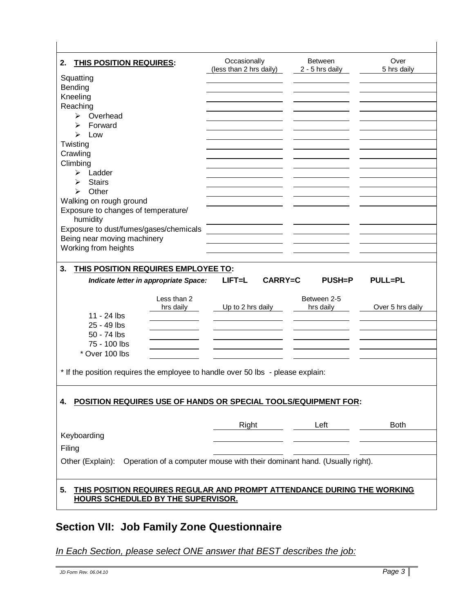| <b>THIS POSITION REQUIRES:</b><br>2.                                                      | Occasionally                      | <b>Between</b>           | Over             |
|-------------------------------------------------------------------------------------------|-----------------------------------|--------------------------|------------------|
|                                                                                           | (less than 2 hrs daily)           | 2 - 5 hrs daily          | 5 hrs daily      |
| Squatting<br>Bending                                                                      |                                   |                          |                  |
| Kneeling                                                                                  |                                   |                          |                  |
| Reaching                                                                                  |                                   |                          |                  |
| Overhead<br>➤                                                                             |                                   |                          |                  |
| Forward<br>⋗                                                                              |                                   |                          |                  |
| ➢<br>Low                                                                                  |                                   |                          |                  |
| Twisting                                                                                  |                                   |                          |                  |
| Crawling                                                                                  |                                   |                          |                  |
| Climbing                                                                                  |                                   |                          |                  |
| Ladder<br>≻                                                                               |                                   |                          |                  |
| <b>Stairs</b><br>⋗                                                                        |                                   |                          |                  |
| Other<br>↘                                                                                |                                   |                          |                  |
| Walking on rough ground                                                                   |                                   |                          |                  |
| Exposure to changes of temperature/                                                       |                                   |                          |                  |
| humidity                                                                                  |                                   |                          |                  |
| Exposure to dust/fumes/gases/chemicals                                                    |                                   |                          |                  |
| Being near moving machinery                                                               |                                   |                          |                  |
| Working from heights                                                                      |                                   |                          |                  |
|                                                                                           |                                   |                          |                  |
| 3.<br>THIS POSITION REQUIRES EMPLOYEE TO:                                                 |                                   |                          |                  |
| Indicate letter in appropriate Space:                                                     | <b>CARRY=C</b><br>$L$ <b>FT=L</b> | $PUSH = P$               | <b>PULL=PL</b>   |
|                                                                                           |                                   |                          |                  |
| Less than 2<br>hrs daily                                                                  | Up to 2 hrs daily                 | Between 2-5<br>hrs daily | Over 5 hrs daily |
| 11 - 24 lbs                                                                               |                                   |                          |                  |
| 25 - 49 lbs                                                                               |                                   |                          |                  |
| 50 - 74 lbs                                                                               |                                   |                          |                  |
| 75 - 100 lbs                                                                              |                                   |                          |                  |
| * Over 100 lbs                                                                            |                                   |                          |                  |
|                                                                                           |                                   |                          |                  |
| * If the position requires the employee to handle over 50 lbs - please explain:           |                                   |                          |                  |
|                                                                                           |                                   |                          |                  |
|                                                                                           |                                   |                          |                  |
| POSITION REQUIRES USE OF HANDS OR SPECIAL TOOLS/EQUIPMENT FOR:<br>4.                      |                                   |                          |                  |
|                                                                                           |                                   |                          |                  |
|                                                                                           |                                   |                          |                  |
|                                                                                           |                                   |                          |                  |
|                                                                                           | Right                             | Left                     | <b>Both</b>      |
| Keyboarding                                                                               |                                   |                          |                  |
| Filing                                                                                    |                                   |                          |                  |
| Other (Explain): Operation of a computer mouse with their dominant hand. (Usually right). |                                   |                          |                  |
|                                                                                           |                                   |                          |                  |
|                                                                                           |                                   |                          |                  |
| THIS POSITION REQUIRES REGULAR AND PROMPT ATTENDANCE DURING THE WORKING<br>5.             |                                   |                          |                  |
| <b>HOURS SCHEDULED BY THE SUPERVISOR.</b>                                                 |                                   |                          |                  |

# **Section VII: Job Family Zone Questionnaire**

*In Each Section, please select ONE answer that BEST describes the job:*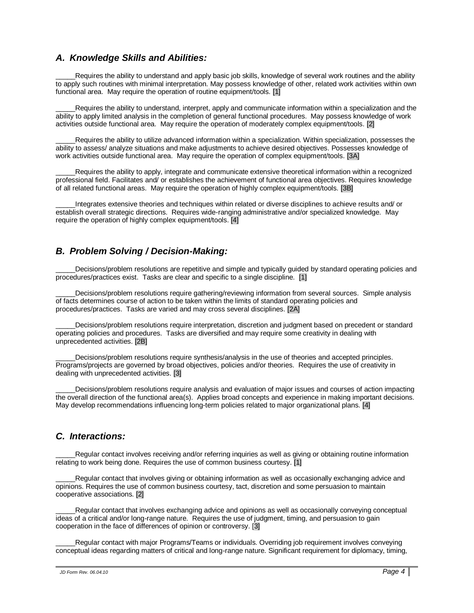#### *A. Knowledge Skills and Abilities:*

Requires the ability to understand and apply basic job skills, knowledge of several work routines and the ability to apply such routines with minimal interpretation. May possess knowledge of other, related work activities within own functional area. May require the operation of routine equipment/tools. [1]

Requires the ability to understand, interpret, apply and communicate information within a specialization and the ability to apply limited analysis in the completion of general functional procedures. May possess knowledge of work activities outside functional area. May require the operation of moderately complex equipment/tools. [2]

Requires the ability to utilize advanced information within a specialization. Within specialization, possesses the ability to assess/ analyze situations and make adjustments to achieve desired objectives. Possesses knowledge of work activities outside functional area. May require the operation of complex equipment/tools. [3A]

Requires the ability to apply, integrate and communicate extensive theoretical information within a recognized professional field. Facilitates and/ or establishes the achievement of functional area objectives. Requires knowledge of all related functional areas. May require the operation of highly complex equipment/tools. [3B]

Integrates extensive theories and techniques within related or diverse disciplines to achieve results and/ or establish overall strategic directions. Requires wide-ranging administrative and/or specialized knowledge. May require the operation of highly complex equipment/tools. [4]

## *B. Problem Solving / Decision-Making:*

Decisions/problem resolutions are repetitive and simple and typically guided by standard operating policies and procedures/practices exist. Tasks are clear and specific to a single discipline. [1]

Decisions/problem resolutions require gathering/reviewing information from several sources. Simple analysis of facts determines course of action to be taken within the limits of standard operating policies and procedures/practices. Tasks are varied and may cross several disciplines. [2A]

Decisions/problem resolutions require interpretation, discretion and judgment based on precedent or standard operating policies and procedures. Tasks are diversified and may require some creativity in dealing with unprecedented activities. [2B]

Decisions/problem resolutions require synthesis/analysis in the use of theories and accepted principles. Programs/projects are governed by broad objectives, policies and/or theories. Requires the use of creativity in dealing with unprecedented activities. [3]

Decisions/problem resolutions require analysis and evaluation of major issues and courses of action impacting the overall direction of the functional area(s). Applies broad concepts and experience in making important decisions. May develop recommendations influencing long-term policies related to major organizational plans. [4]

## *C. Interactions:*

Regular contact involves receiving and/or referring inquiries as well as giving or obtaining routine information relating to work being done. Requires the use of common business courtesy. [1]

Regular contact that involves giving or obtaining information as well as occasionally exchanging advice and opinions. Requires the use of common business courtesy, tact, discretion and some persuasion to maintain cooperative associations. [2]

Regular contact that involves exchanging advice and opinions as well as occasionally conveying conceptual ideas of a critical and/or long-range nature. Requires the use of judgment, timing, and persuasion to gain cooperation in the face of differences of opinion or controversy. [3]

Regular contact with major Programs/Teams or individuals. Overriding job requirement involves conveying conceptual ideas regarding matters of critical and long-range nature. Significant requirement for diplomacy, timing,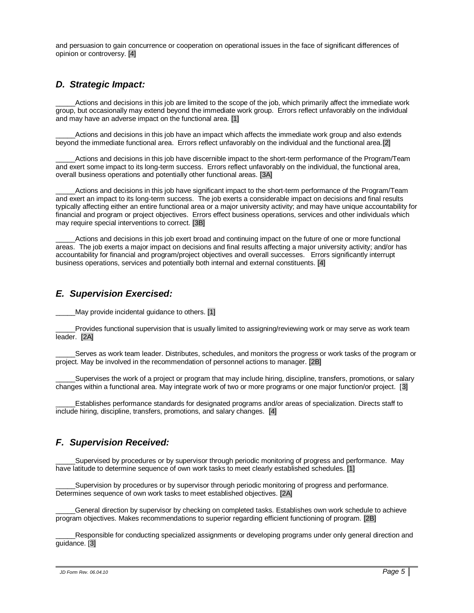and persuasion to gain concurrence or cooperation on operational issues in the face of significant differences of opinion or controversy. [4]

### *D. Strategic Impact:*

Actions and decisions in this job are limited to the scope of the job, which primarily affect the immediate work group, but occasionally may extend beyond the immediate work group. Errors reflect unfavorably on the individual and may have an adverse impact on the functional area. [1]

Actions and decisions in this job have an impact which affects the immediate work group and also extends beyond the immediate functional area. Errors reflect unfavorably on the individual and the functional area.[2]

Actions and decisions in this job have discernible impact to the short-term performance of the Program/Team and exert some impact to its long-term success. Errors reflect unfavorably on the individual, the functional area, overall business operations and potentially other functional areas. [3A]

Actions and decisions in this job have significant impact to the short-term performance of the Program/Team and exert an impact to its long-term success. The job exerts a considerable impact on decisions and final results typically affecting either an entire functional area or a major university activity; and may have unique accountability for financial and program or project objectives. Errors effect business operations, services and other individuals which may require special interventions to correct. [3B]

Actions and decisions in this job exert broad and continuing impact on the future of one or more functional areas. The job exerts a major impact on decisions and final results affecting a major university activity; and/or has accountability for financial and program/project objectives and overall successes. Errors significantly interrupt business operations, services and potentially both internal and external constituents. [4]

### *E. Supervision Exercised:*

May provide incidental guidance to others. [1]

\_\_\_\_\_Provides functional supervision that is usually limited to assigning/reviewing work or may serve as work team leader. [2A]

Serves as work team leader. Distributes, schedules, and monitors the progress or work tasks of the program or project. May be involved in the recommendation of personnel actions to manager. [2B]

Supervises the work of a project or program that may include hiring, discipline, transfers, promotions, or salary changes within a functional area. May integrate work of two or more programs or one major function/or project. [3]

\_\_\_\_\_Establishes performance standards for designated programs and/or areas of specialization. Directs staff to include hiring, discipline, transfers, promotions, and salary changes. [4]

## *F. Supervision Received:*

Supervised by procedures or by supervisor through periodic monitoring of progress and performance. May have latitude to determine sequence of own work tasks to meet clearly established schedules. [1]

Supervision by procedures or by supervisor through periodic monitoring of progress and performance. Determines sequence of own work tasks to meet established objectives. [2A]

\_\_\_\_\_General direction by supervisor by checking on completed tasks. Establishes own work schedule to achieve program objectives. Makes recommendations to superior regarding efficient functioning of program. [2B]

Responsible for conducting specialized assignments or developing programs under only general direction and guidance. [3]